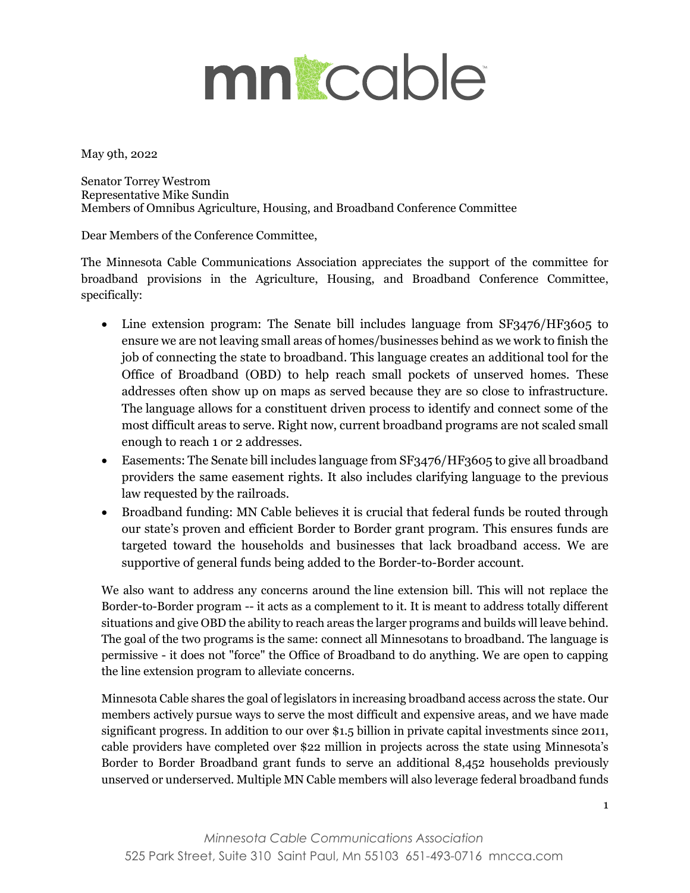## mngcable

May 9th, 2022

Senator Torrey Westrom Representative Mike Sundin Members of Omnibus Agriculture, Housing, and Broadband Conference Committee

Dear Members of the Conference Committee,

The Minnesota Cable Communications Association appreciates the support of the committee for broadband provisions in the Agriculture, Housing, and Broadband Conference Committee, specifically:

- Line extension program: The Senate bill includes language from SF3476/HF3605 to ensure we are not leaving small areas of homes/businesses behind as we work to finish the job of connecting the state to broadband. This language creates an additional tool for the Office of Broadband (OBD) to help reach small pockets of unserved homes. These addresses often show up on maps as served because they are so close to infrastructure. The language allows for a constituent driven process to identify and connect some of the most difficult areas to serve. Right now, current broadband programs are not scaled small enough to reach 1 or 2 addresses.
- Easements: The Senate bill includes language from SF3476/HF3605 to give all broadband providers the same easement rights. It also includes clarifying language to the previous law requested by the railroads.
- Broadband funding: MN Cable believes it is crucial that federal funds be routed through our state's proven and efficient Border to Border grant program. This ensures funds are targeted toward the households and businesses that lack broadband access. We are supportive of general funds being added to the Border-to-Border account.

We also want to address any concerns around the line extension bill. This will not replace the Border-to-Border program -- it acts as a complement to it. It is meant to address totally different situations and give OBD the ability to reach areas the larger programs and builds will leave behind. The goal of the two programs is the same: connect all Minnesotans to broadband. The language is permissive - it does not "force" the Office of Broadband to do anything. We are open to capping the line extension program to alleviate concerns.

Minnesota Cable shares the goal of legislators in increasing broadband access across the state. Our members actively pursue ways to serve the most difficult and expensive areas, and we have made significant progress. In addition to our over \$1.5 billion in private capital investments since 2011, cable providers have completed over \$22 million in projects across the state using Minnesota's Border to Border Broadband grant funds to serve an additional 8,452 households previously unserved or underserved. Multiple MN Cable members will also leverage federal broadband funds